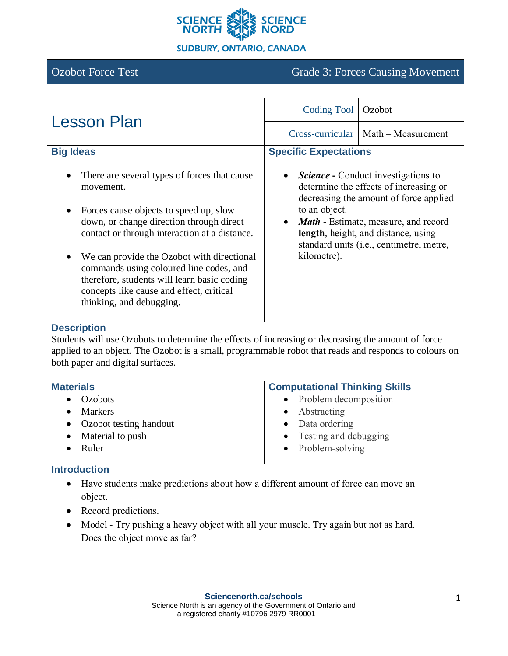

# Ozobot Force Test Grade 3: Forces Causing Movement

| <b>Lesson Plan</b>                                                                                                                                                                                                                                                                                                                                                                                                                         | <b>Coding Tool</b>                                                                                                                                                                                                                                                                                                         | Ozobot                                   |
|--------------------------------------------------------------------------------------------------------------------------------------------------------------------------------------------------------------------------------------------------------------------------------------------------------------------------------------------------------------------------------------------------------------------------------------------|----------------------------------------------------------------------------------------------------------------------------------------------------------------------------------------------------------------------------------------------------------------------------------------------------------------------------|------------------------------------------|
|                                                                                                                                                                                                                                                                                                                                                                                                                                            |                                                                                                                                                                                                                                                                                                                            | $Cross-curricular \mid Math-Measurement$ |
| <b>Big Ideas</b>                                                                                                                                                                                                                                                                                                                                                                                                                           | <b>Specific Expectations</b>                                                                                                                                                                                                                                                                                               |                                          |
| There are several types of forces that cause<br>movement.<br>Forces cause objects to speed up, slow<br>$\bullet$<br>down, or change direction through direct<br>contact or through interaction at a distance.<br>We can provide the Ozobot with directional<br>$\bullet$<br>commands using coloured line codes, and<br>therefore, students will learn basic coding<br>concepts like cause and effect, critical<br>thinking, and debugging. | <b>Science - Conduct investigations to</b><br>$\bullet$<br>determine the effects of increasing or<br>decreasing the amount of force applied<br>to an object.<br><b>Math</b> - Estimate, measure, and record<br>$\bullet$<br>length, height, and distance, using<br>standard units (i.e., centimetre, metre,<br>kilometre). |                                          |

#### **Description**

Students will use Ozobots to determine the effects of increasing or decreasing the amount of force applied to an object. The Ozobot is a small, programmable robot that reads and responds to colours on both paper and digital surfaces.

| <b>Materials</b>         | <b>Computational Thinking Skills</b> |  |
|--------------------------|--------------------------------------|--|
| $\bullet$ Ozobots        | • Problem decomposition              |  |
| Markers                  | $\bullet$ Abstracting                |  |
| • Ozobot testing handout | • Data ordering                      |  |
| • Material to push       | • Testing and debugging              |  |
| Ruler                    | $\bullet$ Problem-solving            |  |
|                          |                                      |  |

#### **Introduction**

- Have students make predictions about how a different amount of force can move an object.
- Record predictions.
- Model Try pushing a heavy object with all your muscle. Try again but not as hard. Does the object move as far?